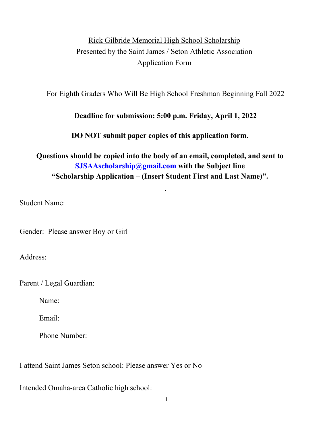# Rick Gilbride Memorial High School Scholarship Presented by the Saint James / Seton Athletic Association Application Form

#### For Eighth Graders Who Will Be High School Freshman Beginning Fall 2022

### **Deadline for submission: 5:00 p.m. Friday, April 1, 2022**

### **DO NOT submit paper copies of this application form.**

## **Questions should be copied into the body of an email, completed, and sent to [SJSAAscholarship@gmail.com](mailto:SJSAAscholarship@gmail.com) with the Subject line "Scholarship Application – (Insert Student First and Last Name)".**

**.** 

Student Name:

Gender: Please answer Boy or Girl

Address:

Parent / Legal Guardian:

Name:

Email:

Phone Number:

I attend Saint James Seton school: Please answer Yes or No

Intended Omaha-area Catholic high school: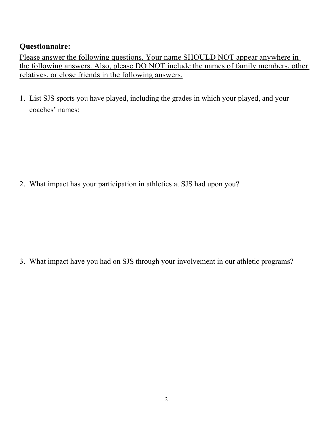## **Questionnaire:**

Please answer the following questions. Your name SHOULD NOT appear anywhere in the following answers. Also, please DO NOT include the names of family members, other relatives, or close friends in the following answers.

1. List SJS sports you have played, including the grades in which your played, and your coaches' names:

2. What impact has your participation in athletics at SJS had upon you?

3. What impact have you had on SJS through your involvement in our athletic programs?